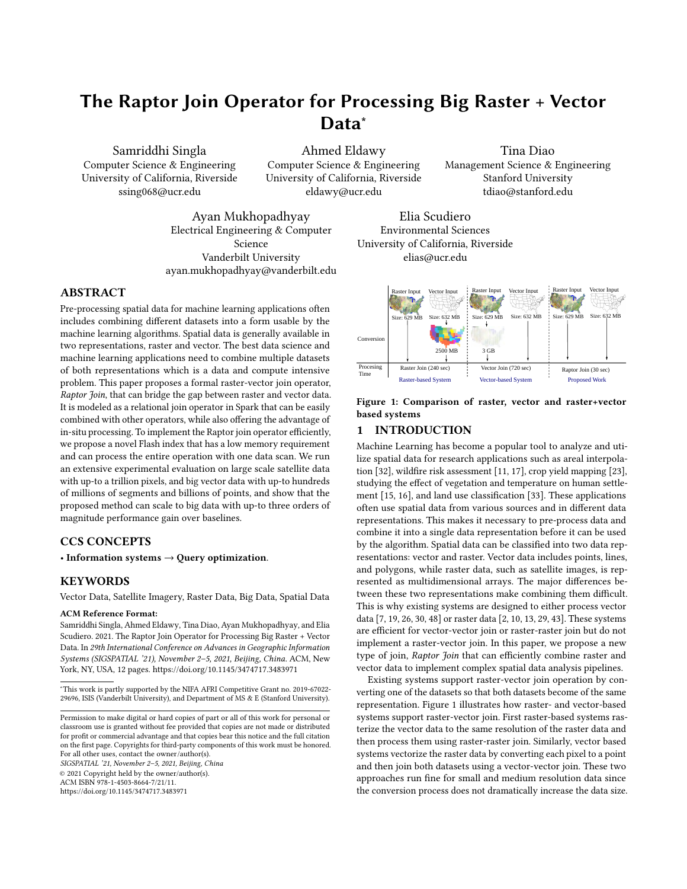# The Raptor Join Operator for Processing Big Raster + Vector Data<sup>\*</sup>

Samriddhi Singla Computer Science & Engineering University of California, Riverside ssing068@ucr.edu

Ahmed Eldawy Computer Science & Engineering University of California, Riverside eldawy@ucr.edu

Tina Diao Management Science & Engineering Stanford University tdiao@stanford.edu

Ayan Mukhopadhyay Electrical Engineering & Computer Science Vanderbilt University ayan.mukhopadhyay@vanderbilt.edu

# ABSTRACT

Pre-processing spatial data for machine learning applications often includes combining different datasets into a form usable by the machine learning algorithms. Spatial data is generally available in two representations, raster and vector. The best data science and machine learning applications need to combine multiple datasets of both representations which is a data and compute intensive problem. This paper proposes a formal raster-vector join operator, Raptor Join, that can bridge the gap between raster and vector data. It is modeled as a relational join operator in Spark that can be easily combined with other operators, while also offering the advantage of in-situ processing. To implement the Raptor join operator efficiently, we propose a novel Flash index that has a low memory requirement and can process the entire operation with one data scan. We run an extensive experimental evaluation on large scale satellite data with up-to a trillion pixels, and big vector data with up-to hundreds of millions of segments and billions of points, and show that the proposed method can scale to big data with up-to three orders of magnitude performance gain over baselines.

### CCS CONCEPTS

• Information systems  $\rightarrow$  Query optimization.

# **KEYWORDS**

Vector Data, Satellite Imagery, Raster Data, Big Data, Spatial Data

### ACM Reference Format:

Samriddhi Singla, Ahmed Eldawy, Tina Diao, Ayan Mukhopadhyay, and Elia Scudiero. 2021. The Raptor Join Operator for Processing Big Raster + Vector Data. In 29th International Conference on Advances in Geographic Information Systems (SIGSPATIAL '21), November 2–5, 2021, Beijing, China. ACM, New York, NY, USA, [12](#page-11-0) pages.<https://doi.org/10.1145/3474717.3483971>

SIGSPATIAL '21, November 2–5, 2021, Beijing, China

© 2021 Copyright held by the owner/author(s).

ACM ISBN 978-1-4503-8664-7/21/11.

<https://doi.org/10.1145/3474717.3483971>



<span id="page-0-0"></span>

Figure 1: Comparison of raster, vector and raster+vector based systems

# 1 INTRODUCTION

Machine Learning has become a popular tool to analyze and utilize spatial data for research applications such as areal interpolation [\[32\]](#page-9-0), wildfire risk assessment [\[11,](#page-9-1) [17\]](#page-9-2), crop yield mapping [\[23\]](#page-9-3), studying the effect of vegetation and temperature on human settlement [\[15,](#page-9-4) [16\]](#page-9-5), and land use classification [\[33\]](#page-9-6). These applications often use spatial data from various sources and in different data representations. This makes it necessary to pre-process data and combine it into a single data representation before it can be used by the algorithm. Spatial data can be classified into two data representations: vector and raster. Vector data includes points, lines, and polygons, while raster data, such as satellite images, is represented as multidimensional arrays. The major differences between these two representations make combining them difficult. This is why existing systems are designed to either process vector data [\[7,](#page-9-7) [19,](#page-9-8) [26,](#page-9-9) [30,](#page-9-10) [48\]](#page-9-11) or raster data [\[2,](#page-9-12) [10,](#page-9-13) [13,](#page-9-14) [29,](#page-9-15) [43\]](#page-9-16). These systems are efficient for vector-vector join or raster-raster join but do not implement a raster-vector join. In this paper, we propose a new type of join, Raptor Join that can efficiently combine raster and vector data to implement complex spatial data analysis pipelines.

Existing systems support raster-vector join operation by converting one of the datasets so that both datasets become of the same representation. Figure [1](#page-0-0) illustrates how raster- and vector-based systems support raster-vector join. First raster-based systems rasterize the vector data to the same resolution of the raster data and then process them using raster-raster join. Similarly, vector based systems vectorize the raster data by converting each pixel to a point and then join both datasets using a vector-vector join. These two approaches run fine for small and medium resolution data since the conversion process does not dramatically increase the data size.

<sup>∗</sup>This work is partly supported by the NIFA AFRI Competitive Grant no. 2019-67022- 29696, ISIS (Vanderbilt University), and Department of MS & E (Stanford University).

Permission to make digital or hard copies of part or all of this work for personal or classroom use is granted without fee provided that copies are not made or distributed for profit or commercial advantage and that copies bear this notice and the full citation on the first page. Copyrights for third-party components of this work must be honored. For all other uses, contact the owner/author(s).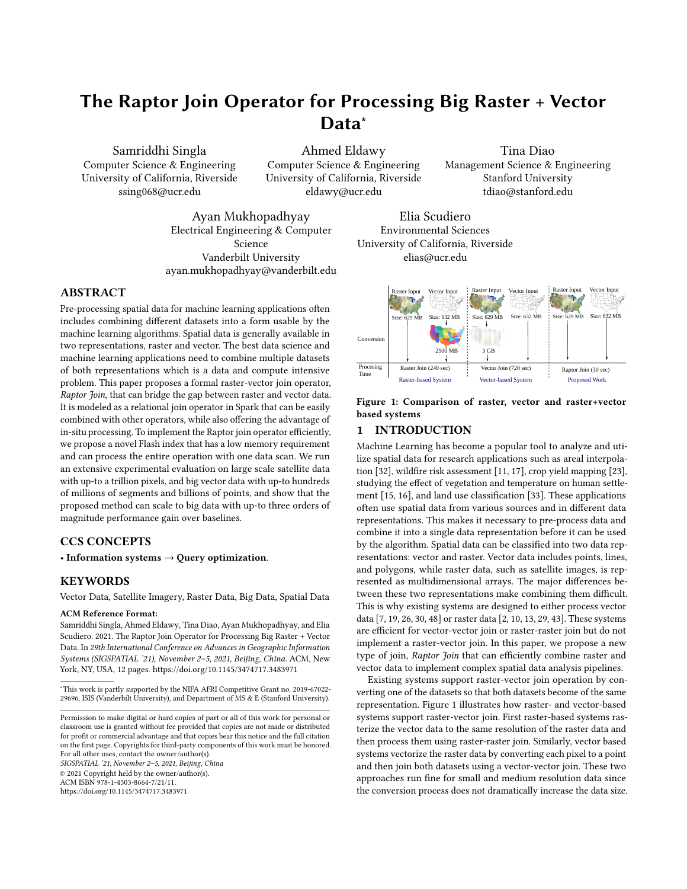SIGSPATIAL '21, November 2-5, 2021, Beijing, China Samriddhi Singla, Ahmed Eldawy, Tina Diao, Ayan Mukhopadhyay, and Elia Scudiero

However, with the recent availability of high-resolution satellite data, these approaches no longer scale. In fact, the converted data size increases *quadratically* with the resolution [\[39\]](#page-9-17).

To further highlight the limitations of existing approaches, we start with raster-based systems. Existing raster-based approaches for the raster-vector join problem can be broadly categorized into two methods. First, on-the-fly method iterates over vector records, rasterize each record on-the-fly and combine it with the raster data to retrieve the relevant pixels. This method suffers from the overhead of the rasterization step and the redundant access to raster data when geometries are close to each other. Second, the materialized method materializes all the rasterized data to increase the computation efficiency but it suffers from the huge size of the rasterized data. For example, a 632MB dataset that represents the 74k US Census tracts is rasterized to nearly 2.5GB of data at 1km resolution.

On the other hand, vector-based systems convert raster pixels to points and process them with the vector data as illustrated in Figure [1.](#page-0-0) Methods can be similarly categorized as on-the-fly and materialized methods. The on-the-fly method first indexes the vector data and then scans the pixels, convert each pixel to a point, and process it with the index. This method suffers from the large index size and the overhead of accessing the index for each pixel. The materialized method first converts and materializes all pixels to points, and then runs an efficient distributed spatial join algorithm on the result. This method suffers from the huge size of the materialized data. For example, a 34MB compressed GeoTIFF file with 600 million pixels will be converted to nearly 3 GB of decompressed vector representation.

The proposed Raptor Join can concurrently process raster and vector data. Raptor Join  $(RJ_{\bowtie})$  overcomes the limitations of existing systems as follows. First,  $RJ_{\bowtie}$  is implemented using an insitu approach in Spark [\[50\]](#page-9-18) which does not require an expensive data loading phase. Second, it directly processes raster and vector data in their native representations and does not require any data conversion. Third,  $RJ_{\bowtie}$  is modeled as a relational operator which makes it easier to combine with other relational operators in Spark such as selection, join, grouping, and aggregation. Previous work showed that a similar approach is efficient for the zonal statistics problem [\[38](#page-9-19)[–40\]](#page-9-20) but that work is still limited and cannot support complex analytical queries [\[42\]](#page-9-21). The  $RJ_{\bowtie}$  operator is the first general-purpose operator that can build complex distributed processing pipelines for raster and vector data.

The proposed  $RJ<sub>M</sub>$  operator models both raster and vector data as relational data. Vector data is represented as a set of geometries while raster data is virtually represented as a set of pixels. To join them, we first define three predicates that define the logic of matching a pixel with either a point, a line, or a polygon. Based on that, we define the Raptor join output and show how it can be combined with standard operators to perform arbitrarily complex query pipelines for real scientific applications. To implement the Raptor join operator efficiently, we propose a novel distributed index structure termed Flash index which is stored as a set of integer arrays that represent ranges in the raster data that join with the vector data. Flash index has a very small memory footprint which allows it to efficiently process terabytes of data. We compare the proposed system to GeoTrellis [\[10\]](#page-9-13), Google Earth Engine [\[13\]](#page-9-14), Rasdaman [\[2\]](#page-9-12),

<span id="page-1-1"></span>

Figure 2: Raster file structure

Sedona [\[48\]](#page-9-11), Adaptive Cell Trie (ACT) [\[19\]](#page-9-8), and Beast [\[53\]](#page-9-22), and show that it has up-to three orders of magnitude performance gain over them while being perfectly able to scale to big data and use fewer resources.

To summarize the contributions, this paper: (1) Defines a logical relational data model that represents both raster and vector data. (2) Proposes a new operator Raptor Join  $(RJ_{\bowtie})$  that joins raster and vector data. (3) Formulates three predicates for joining points, lines, and polygons, with raster data. (4) Proposes a new data structure, Flash Index, and uses it to implement  $RJ_{\bowtie}$  efficiently in Spark. (5) Runs a comprehensive experimental evaluation on real datasets to show the efficiency of  $RJ_{\bowtie}$ .

The rest of this paper is organized as follows: Section [2](#page-1-0) describes the data and query model of the proposed system. Section [3](#page-3-0) details the algorithm used to implement the proposed operator and the Flash-index construction and processing. Section [4](#page-5-0) runs an extensive experimental evaluation of the proposed system. Section [5](#page-8-0) covers the related work in literature. Section [6](#page-9-23) concludes the paper and discusses future work.

# <span id="page-1-0"></span>2 PROBLEM FORMULATION

This section defines the new Raptor Join  $(RJ_{\bowtie})$  operator which joins raster and vector data. We begin by defining the data model for both raster and vector inputs, followed by the output of the  $RJ_{\bowtie}$ operator for three types of geometries: points, lines, and polygons.

### 2.1 Input Data Model

A key advantage of our system is its ability to process both raster and vector data in their native representation. In other words, it can directly process raster data represented as 2D arrays in compressed GeoTIFF or HDF files, and vector data represented as sequences of coordinates in CSV or binary Shapefiles. This poses a challenge on how to combine these two representations without data conversion. Our idea is to propose a common logical model that allows users to write queries but without actually doing any conversion. We choose the relational model as a common data model since it naturally integrates with other Spark operations to produce powerful query plans. We reiterate that even though we propose a common relational model for formalization purposes, the proposed system neither requires raster data to be input in a tabular form nor does it internally convert it into a relational form.

Raster dataset  $R$ : Figure [2](#page-1-1) illustrates the physical structure of the raster data. The input consists of a collection of raster files. Each file  $R \in \mathcal{R}$ , identified by a unique ID  $R_{id}$ , is a matrix of pixels organized into rows and columns. Each pixel  $px = (R_{id}, x, y, m)$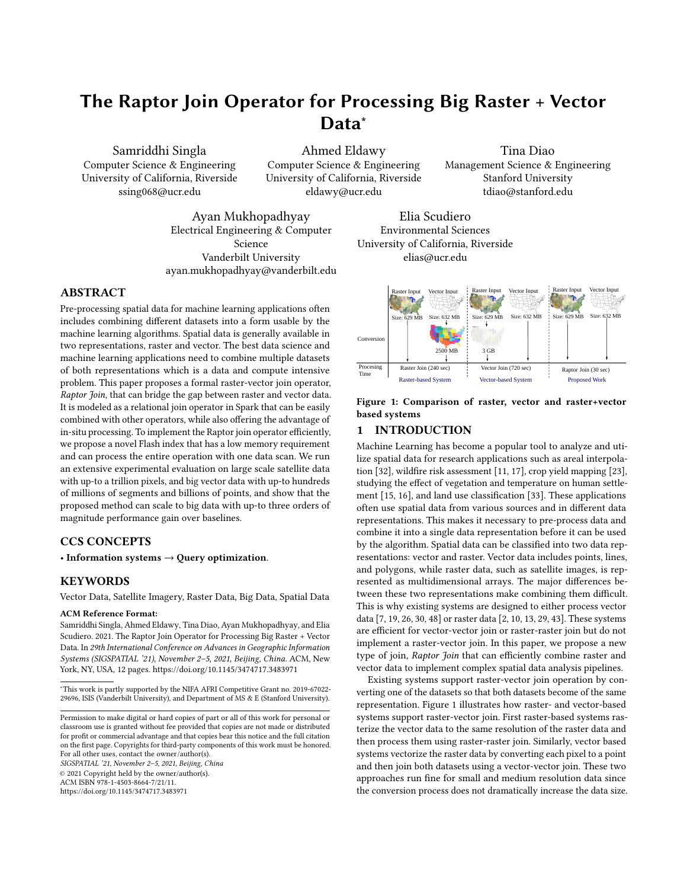<span id="page-2-0"></span>

<span id="page-2-1"></span>Figure 3: Three predicates  $\theta$  for Raptor Join

in file  $R_{id}$  is located at column x, row y, and has a numeric value , e.g., temperature or vegetation. For efficient storage and access, raster file formats group pixels into equi-sized non-overlapping sub-arrays called tiles, and each tile is assigned an identifier,  $T_{id}$ . For example, in Figure [2,](#page-1-1) each file contains 16 tiles and each tile contains 25 pixels.

We use the array model as a physical representation when data is loaded in memory for its efficiency. In addition, we provide a relational logical representation to simplify the query processing for users. The logical model represents the raster dataset,  $R$  as a set of  $(R_{id}, x, y, m)$  tuples by simply flattening all the pixels and rasters in it.

## $R = \{(R_{id}, x, y, m)\}$

Raster Metadata  $R.M$ : Each raster image  $R$  is associated with metadata that consists of the following information:

(1) Number of columns  $(c)$  and rows  $(r)$  of pixels in it. (2) Tile width  $(tw)$  and tile height  $(th)$  in pixels. (3) The grid-to-world  $(G2W)$  affine transformation matrix that converts a pixel location on the grid to a point location in the world, and the inverse, world– to-grid ( $W2G$ ) transformation. (4) Coordinate Reference System (CRS) which describes the projection that maps the Earth surface to the world coordinates as defined by the ISO-19111 standard [\[14\]](#page-9-24). The metadata is not replicated for each pixel, but is stored only once in memory and is associated with pixels through the raster ID that contains the pixel. It can be used to calculate the following attributes, as needed, for each raster layer R or pixel  $px$ : (1) Pixel bounding box,  $bb(px)$ ; (2) Pixel resolution,  $p_x, p_y$ ; (3) Tile ID,  $T_{id}(px)$ ; (4) Number of tiles in the file,  $numTiles$ . For information on how the attributes are calculated, please refer to Appendix [A.](#page-10-0)

Vector Dataset  $V$ : is defined as a collection of geometric features that comprise points, lines, or polygons. Points represent discrete data values using a pair of longitude and latitude  $(lon, lat)$ . Lines or linestrings represent linear features, such as rivers, roads, and trails. Each line is represented by an ordered list of at least two points. Polygons represent areas such as the boundary of a city, lake, or forest. Polygons are represented as an ordered collection of closed linestrings, i.e., rings, which constitute the boundary of the polygon and optionally holes inside it. In this paper, we represent a vector dataset, *V* as a set of  $(g_{id}, g)$  tuples, where  $g_{id}$  is a unique identifier for the record and  $g$  is the geometry.

# $V = \{(q_{id}, g)\}$

If  $V$  has a different CRS than the raster dataset  $R$ , we convert  $V$ to match  $R$  on-the-fly as the data is loaded.

### 2.2  $\text{RJ}_{\bowtie}$  Output Definition

This section formally defines the output of the  $RJ<sub>M</sub>$  operator that brings together raster and vector data.

<span id="page-2-2"></span>**Raptor Join RJ** $\Join$ : is a spatial join operator that takes as input a vector dataset V, a raster dataset  $R$ , and a predicate  $\theta$ . It produces the set of (geometry, pixel) pairs which satisfy the predicate. Based on our collaboration with domain scientists in various fields [\[42\]](#page-9-21), we define three predicates  $\theta_{point}$ ,  $\theta_{line}$ , and  $\theta_{polugon}$  for the three types of geometries defined shortly. Each predicate  $\theta$  takes two input records, a geometry g and a pixel  $px = (R_{id}, x, y, m)$ , and returns true if the geometry and pixel match. Unlike vector-based systems, we show later in the paper that we do not need to test this predicate for individual pixels but we can still find the correct result using the proposed Flash index.

Point Predicate ( $\theta_{point}$ ) returns true if the point location lies inside the bounding box  $(bb(px))$  of the pixel as illustrated by the two shaded pixels in Figure [3\(a\).](#page-2-0)

Line Predicate  $\theta_{line}$  returns true if the line intersects the crosshair of the pixel, which is defined as the two lines splitting the pixel bounding box in half, horizontally and vertically, as depicted by dotted lines in Figure [3\(b\).](#page-2-1) In this figure, shaded pixels are the ones that match the line according to this definition. This predicate can be used in hydrology applications to measure the altitude profile along hillslopes to detect watersheds [\[9\]](#page-9-25).

Polygon Predicate  $\theta_{polyqon}$  returns true if the center of the pixel bounding box is inside the polygon boundary. Figure [3\(c\)](#page-2-2) depicts an example where the pixel centers are marked as points. Blue (green) points mark the centers of the pixels that are inside (outside) the polygon. The shaded pixels are the ones whose centers lie inside the polygon. This predicate can be used in agriculture to calculate the average vegetation per farmland [\[34\]](#page-9-26).

These three predicates can also be used to express other predicates. For example, to match a linestring with all pixels within a distance  $d$ , we can compute a buffer of that distance around the linestring and use  $\theta_{polygon}$ . Conversely, to match a polygon with pixels around its perimeter, we can first compute the polygon boundary as a linestring and then use  $\theta_{line}$ . These transformations are computed on-the-fly as the data is loaded and do not incur a significant overhead on the overall computation time.

For any of the three predicates,  $RJ_{\bowtie}$  outputs a set of  $(q_{id}, R_{id}, x, \mathcal{L})$  $y$ ,  $m$ ) tuples for all geometries and pixels that match. Notice that the user does not explicitly set the predicate but it is automatically chosen by the system based on the geometry type.

$$
\mathcal{R} \bowtie_{\theta} V = \{ (g_{id}, R_{id}, x, y, m) \}
$$
 (1)

This allows us to define  $RJ<sub>M</sub>$  as a new Spark RDD (Resilient distributed dataset) [\[49\]](#page-9-27) operator as shown in Appendix [B.](#page-10-1) Keep in mind that the  $RJ<sub>M</sub>$  operator can be combined with other operators as needed by the application to satisfy the desired query logic. For example, it can be followed by an equi-join with the vector dataset V on the attribute  $g_{id}$  if the geometric feature is needed. Also, it can be followed by a group by operator on  $g_{id}$  to group all pixels that match a single geometry. Similarly, the result can be grouped by the pixel value  $m$  if it represents a raster object, e.g., contour or land type. We can extend our  $RJ_{\bowtie}$  definition for outer joins but we omit these definitions for brevity. Appendix [C](#page-10-2) gives three examples that integrate  $RJ<sub>M</sub>$  into real data science applications.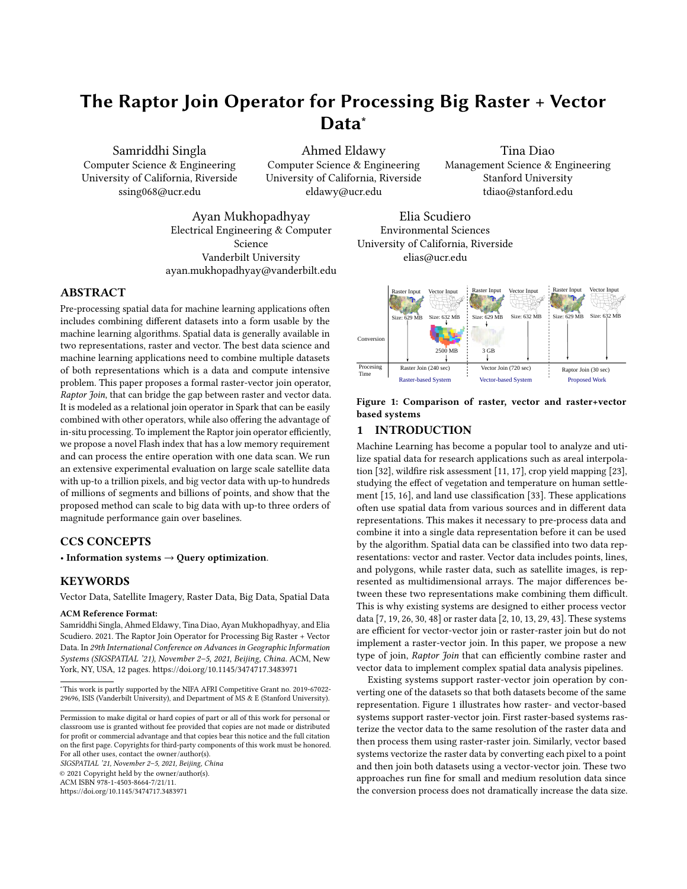<span id="page-3-1"></span>

Figure 4: Implementation Overview of Raptor Join

### <span id="page-3-0"></span>3 RAPTOR JOIN SPARK IMPLEMENTATION

This section describes the proposed algorithm that implements the  $RI_{\bowtie}$  operator. The key design objectives for  $RI_{\bowtie}$  are: (1) In-situ:  $RJ_{\text{M}}$  does not require a preprocessing phase for converting the input data. (2) Efficiency:  $RJ<sub>M</sub>$  handles high-resolution raster data and big vector data. (3) Fully distributed:  $RJ<sub>M</sub>$  runs in a fully distributed mode for scalability.

The key idea of  $RJ_{\bowtie}$  is to resemble a sort-merge join algorithm which scans the input datasets only once. In contrast, raster-based systems resemble a hash-join where each geometry is hashed to pixels (i.e., buckets) which are then joined with input raster data. This will have a cost of  $O(|V| \cdot |\mathcal{R}|)$ , since each geometry in V can be rasterized into a layer with as many pixels as the raster layer,  $|R|$ . On the other hand, vector-based systems resemble a nested-loop join where each pixel is compared to geometries to find the matching ones. If an index is built on geometries, it will resemble an index nested loop join with a running time of  $O(|V| \log |V| + |\mathcal{R}| \cdot \log |V|)$ , where the first term is for building the index and the second term is for searching the index for each pixel in  $R$ . The proposed algorithm has a running time of  $O(|V| \log |V| + |\mathcal{R}|)$ , where the first term resembles a sort step for the vector dataset (in our case, building the Flash index, described shortly) and the second term resembles the linear merge step. The details of the analysis are omitted due to limited space but the analysis follows the approach used in [\[39\]](#page-9-17).

To accomplish this idea,  $RJ_{\bowtie}$  exploits the inherent structure of the raster data and builds an intermediate index structure, termed Flash index. The Flash index is built on the vector data and has three main novelties to satisfy our design objectives. (1) In-situ: The Flash index is built as needed which makes it suitable for in-situ data processing. (2) Efficiency: Since it is built as needed, it is adjusted according to the input data size and resolution to produce a compact and highly-efficient index. (3) Fully distributed: The index is constructed, optimized, and processed in parallel which allows it to scale to big raster and vector data.

Figure [4](#page-3-1) gives an overview of the three phases of the  $RJ<sub>M</sub>$  algorithm, namely, Flash index creation, optimization, and processing.

SIGSPATIAL '21, November 2-5, 2021, Beijing, China Samriddhi Singla, Ahmed Eldawy, Tina Diao, Ayan Mukhopadhyay, and Elia Scudiero

The creation phase takes the input vector data and only the metadata of the raster data to produce an initial Flash index that consists of a set of unordered pixel ranges. The second phase, optimization, repartitions, groups, and orders the pixel ranges to match the structure of the raster data. The goal is to ensure that the third phase can process the entire join query in a single scan over the raster data. The final processing phase uses the Flash index to scan the raster dataset and produce the final output. The output is produced in parallel and is streamed into the next operator depending on how the Spark job is structured.

#### 3.1 Flash Index Creation

The input to this phase is the vector dataset  $(V)$  and the metadata  $(R_{id}.M)$  of all raster files  $(R_{id}\in \mathcal{R})$  and the output is a set of pixel ranges *P* in the format ( $R_{id}$ ,  $T_{id}$ ,  $g_{id}$ ,  $y$ ,  $x_1$ ,  $x_2$ ), where,  $R_{id}$  is the ID of the raster file,  $T_{id}$  is the id of the tile,  $g_{id}$  is the geometry ID, and  $y$  is a row index in the raster file  $R_{id}$  and  $[x_1, x_2]$  is a range of pixels in row  $y$  that match with the geometry  $g_{id}$ . This initial version of the Flash index represents all matching ranges between the vector and raster data. This proposed representation produces a compact index by matching the resolutions of the raster and vector data. For example, if a complex geometry overlaps only a few pixels, only those pixels are encoded regardless of the size of the geometry. On the other hand, if the geometry overlaps a large number of pixels, those pixels will be grouped in ranges to reduce the size of the Flash index. The pixel ranges also prune any non-relevant parts of either dataset. For example, if the vector dataset covers farmlands, then any non-relevant parts in the raster data, e.g., water areas or deserts, will be excluded from the Flash index.

Preparation: Before the vector data can be processed, it might need some of these preparation steps. (1) If the geographical coordinate reference system (CRS) of the vector and raster data do not match, we convert the vector data to match the raster one using a map transformation as defined by the ISO 19111:2019 standard [\[14\]](#page-9-24). (2) If the geometric data does not already have a unique ID, we use the Spark operation zipWithUniqueID to generate a unique ID for each geometry. (3) If the input vector RDD has fewer partitions than the number of cores in the Spark cluster, we randomly repartition the records to have at least one partition per core. This ensures that we fully utilize the cluster during index creation.

Pixel Ranges: Once the vector data is ready, the next step is to create the pixel ranges. The computation of these ranges differ for the three predicates,  $\theta_{point}$ ,  $\theta_{line}$ , and  $\theta_{polygon}$  as detailed below. The following description is given for one raster file  $R$  but the process is simply repeated for all raster files and the output of all of them is merged in no particular order.

3.1.1 Pixel ranges for points. The intersection of a point with raster layer is defined as the pixel whose bounding box  $bb$  contains the point. Given a point at location  $(lon, lat)$ , the matching pixel location can be found using the following equation.

$$
(x', y') = W2G(lon, lat)
$$
 (2)

$$
(x, y) = (\lfloor x' \rfloor, \lfloor y' \rfloor) \tag{3}
$$

First, we apply the  $W2G$  transformation to find the grid coordinates and then use the floor function to find the pixel coordinate. Since each point covers a single pixel, the range is formed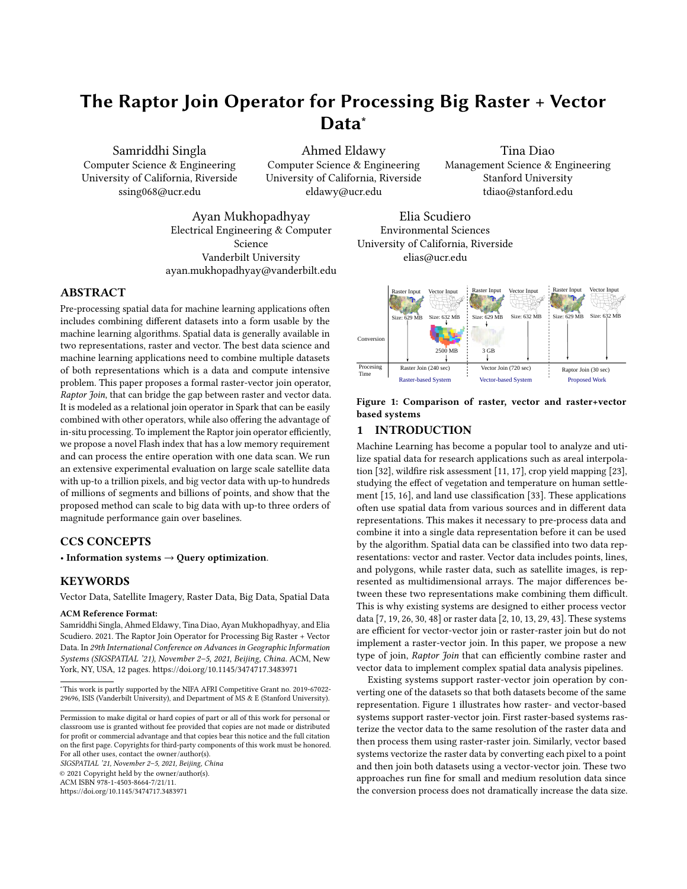as  $(R_{id}, T_{id}, y, x, x)$ , where  $R_{id}$  is the ID of the raster file and  $T_{id}$  is calculated using Equation [4.](#page-10-3) Even though there is some redundancy in repeating  $x$ , we use this format to maintain uniformity in the output for all geometry types.

3.1.2 Pixel ranges for lines. Our definition for the  $\theta_{line}$  predicate matches a line segment with those pixels whose centers are closest to the line, either horizontally or vertically. This definition is analogous to the traditional mid-point line drawing algorithm that is used in the field of computer graphics. To compute the pixel intersections, we iterate over each line segment and convert its end points from world to grid. Then, we apply the mid-point algorithm to find pixel intersections. However, unlike the original algorithm that deals with integer coordinates, our algorithm must deal with floating point geographical coordinates. This results in a collection of  $(g_{id}, y, x)$  tuples, where y and x are the row and column identifiers of the intersecting pixel and  $q_{id}$  is the geometry ID.

The next step groups these pixel intersections into pixel ranges. Simply, if several pixel intersections are in the same tile  $(T_{id})$ , belong to the same geometry  $g_{id}$ , on the same row (y), and have consecutive  $x$  or overlapping coordinates, they are combined into a single pixel range. If there is only one pixel intersection with no adjacent intersections to be combined with, a range with a single pixel is created (similar to the case of  $\theta_{point}$ ). More details about this step and the algorithm can be found in Appendix [D.](#page-11-1)

3.1.3 Pixel ranges for polygons. The intersection of a polygon with the raster layer is defined as the pixels whose bounding box center is inside the polygon. Similar to linestrings, we first compute pixel intersections and then combine them into ranges. However, unlike the linestrings, the set of pixel intersections already define an initial set of ranges that are further adjusted to match the structure of the output for points and linestrings. Figure [5](#page-4-0) illustrates the computation of pixel intersections. In this example, the raster file has 10 rows and 10 columns of pixels and is organized into four tiles, each with  $5 \times 5$  pixels. The solid and hollow circles indicate centers of pixels that are inside and outside the polygon, respectively.

The first step is to compute the pixel intersections between the boundary of the polygon and the center lines of raster rows. Therefore, the two end points of each line segment in the polygon, are converted from the model to grid space. After that, the range of raster rows that intersect with the line segment is computed, without going out of raster boundaries. Then, for each row, we compute the intersection between the horizontal line at  $row +$ 0.5 and the polygon segment. The computed intersection is then added to the list of intersections. Figure [5\(](#page-4-0)b) depicts the computed intersections with a cross. Pixels with double-crosses indicate two intersections at the same pixel. A blue cross depicts the start of an intersection range while a red cross depicts its end.

The next step is to convert the pixel intersections into ranges in the same structure of points and lines. By inspecting Figure [5,](#page-4-0) one can realize that each row must have an even number of intersections for closed polygons. Each pair of consecutive intersections represent a range of pixels. However, these ranges have three issues that are fixed using a simple algorithm. First, range are open-ended, i.e., last pixel in the range is excluded which can be easily fixed by decreasing the position of the range end by one pixel. Second, some range are empty, e.g., the first range at rows 1 and 5, and

<span id="page-4-0"></span>

Figure 5: Pixel intersection computation for polygons

some consecutive ranges can be merged, e.g., the two ranges in line 2. Both of these can be fixed by removing every pair of pixel intersections with the same exact coordinates. Third, some ranges span two tiles which would result in an efficient disk access pattern since each tile is stored in a different disk location. These are fixed by breaking each range that spans multiple tiles at tile boundaries by creating two new intersections one at the end of the first tile and one at the beginning of the next tile. All these adjustments are done in one scan over the list of pixel intersections as further detailed in Appendix [D,](#page-11-1) along with the pseudo-code for this step.

RangeIterator: We store the intersections in memory in a column format, i.e., arrays of integer values. This reduces the memory overhead and improves the cache performance. It also gives an opportunity for efficient column compression to reduce memory overhead which we leave for a future work. However, Spark is a row-oriented system and cannot directly process column-oriented data in memory. To solve this mismatch issue, we create a component, termed RangeIterator, that iterates over the ranges and streams them into the next phase.

### 3.2 Flash Index Optimization

The pixel ranges generated in the first phase can be directly used to process the data. However, the performance will not be optimal since some input raster tiles might need to be processed several times. The reason is that the Flash-Index is created in parallel for vector partitions so it is most likely that two vector partitions overlap the same set of tiles. In this phase, we perform global and local optimizations to ensure minimum disk access in the processing phase. At the global level, we repartition pixel ranges by tile ID so that all ranges that belong to one tile are processed in a single task. At the local level, we sort all ranges within each tile to match the order of the pixels in the raster file which maximizes the cache hit while processing each tile. We efficiently perform both global and local optimizations using the Spark operation repartitionAndSortWithinPartition.

**Global optimization:** We use the pair  $(R_{id}, t_{id})$  as a partitioning key which moves all pixel ranges with the same tile ID to the same partition. While all tiles have the same number of pixels, the workload across tiles can differ based on the number of pixel ranges within each tile. The distribution of pixel ranges is expected to follow the distribution of the vector data which means that the workload will have a spatial locality, i.e., nearby tiles will have similar workload. Therefore, we use hash partitioning to distribute nearby tiles across machines. We also adjust the number of partitions so that each partition will have a pre-configured number of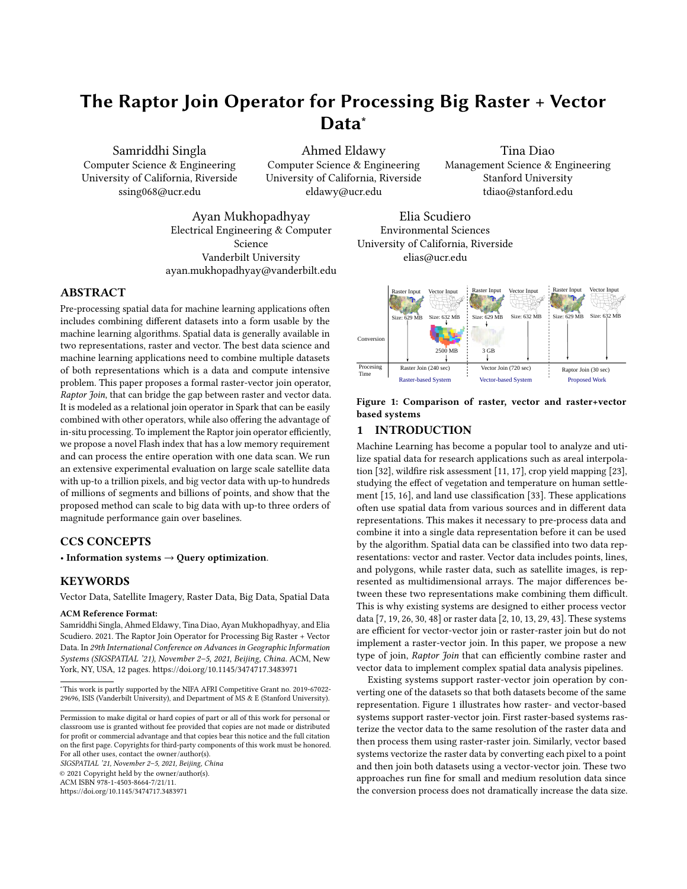SIGSPATIAL '21, November 2-5, 2021, Beijing, China Samriddhi Singla, Ahmed Eldawy, Tina Diao, Ayan Mukhopadhyay, and Elia Scudiero

tiles  $k$ . The goal is to adjust the processing time for each task to be a few seconds which balances the trade-off between parallelization overhead and load skewness.

Local optimization: Within each partition, we sort the pixel ranges lexicographically by  $(R_{id}, t_{id}, y, g_{id}, x_1)$  which ensures that tiles are processed in order and that pixels are accessed row-byrow which matches the in-memory matrix representation of the tile. This will maximize the cache efficiency since each row will be loaded in cache, processed in full, and then evicted when no longer needed.

### 3.3 Flash-Index Processing

This is the only phase where the raster tiles are read from disk. It takes as input a stream of pixel ranges sorted by  $(R_{id}, t_{id}, y, g_{id}, x_1)$ and it reads the pixel values  $m$  to output the final result as a stream of tuples in the format  $(g_{id}, R_{id}, x, y, m)$ . The order of the input ensures that only one tile needs to be loaded in memory at a time which minimizes both disk access and memory requirement. For each new range in the input, if the tile is not the one currently loaded, the current tile is replaced with the new one. Then, all pixels in the range are read one-by-one and the value is processed. If the value indicates an invalid pixel, i.e., fill value, the pixel is skipped to the next one. Otherwise, if it is a valid value, a tuple ( $g_{id}$ ,  $R_{id}$ ,  $x$ ,  $y$ ,  $m$ ) is output. The output tuples are generated in a streamed way to avoid keeping all of them in memory at the same time. For example, if the  $RJ<sub>M</sub>$  operator is followed by an aggregate operator, the values are directly processed and never kept in memory.

# <span id="page-5-0"></span>4 EXPERIMENTS

This section provides an extensive experimental evaluation of the proposed algorithm for the Raptor Join  $(RJ_{\bowtie})$  operator. We compare  $RJ<sub>M</sub>$  to three vector-based approaches, Adaptive Cell Trie (ACT) [\[19\]](#page-9-8), Sedona [\[48\]](#page-9-11) (formerly GeoSpark), and Beast [\[53\]](#page-9-22); and three raster-based approaches, Rasdaman [\[2\]](#page-9-12), Geotrellis [\[18\]](#page-9-28), and Google Earth Engine (GEE) [\[13\]](#page-9-14). When applicable, we also compare to RZS [\[39\]](#page-9-17) which supports only the zonal statistics problem on polygons using Hadoop. Zonal statistics aggregates pixel values within polygonal regions.

The experiments show that the proposed  $RJ_{\bowtie}$  is up-to three orders of magnitudes faster than the baselines. Additionally,  $RI_{\text{M}}$  is two to three orders of magnitude faster in the data loading step. Finally,  $RJ<sub>M</sub>$  is the only system that is able to perform all the experiments in one run over the big inputs while for GEE and GeoTrellis we needed, in some cases, to manually split big files into smaller ones, process each one separately, and combine the results, to work around system limitations.

### 4.1 Setup

We run RJ<sub>¤</sub>, GeoTrellis, Sedona, and Beast on a cluster with one head node and 12 worker nodes. The head node has Intel(R) Xeon(R) CPU 5 − 2609 v4 @ 1.70GHz processor, 128 of GB RAM, 2 TB of HDD, and 2×8-core processors running CentOS and Oracle Java 1.8.0\_131. The worker nodes have Intel(R) Xeon(R) CPU E5-2603 v4 @ 1.70GHz processor, 64 GB of RAM, 10 TB of HDD, and 2×6 core processors running CentOS and Oracle Java 1.8.0\_31-b04. The methods are implemented using the open source GeoTools library

#### Table 1: Vector and Raster Datasets

<span id="page-5-1"></span>Vector datasets

| Dataset           | $\overline{V}$   | Points           | File Size | Type     | Coverage |
|-------------------|------------------|------------------|-----------|----------|----------|
| all nodes         | 2.7 <sub>b</sub> | 2.7 <sub>b</sub> | 257.2 GB  | Points   | World    |
| Linearwater       | 6m               | 292m             | 5.8 GB    | Lines    | US       |
| Roads             | 18 <sub>m</sub>  | 349              | 9.1 GB    | Lines    | US       |
| Edges             | 68m              | 759m             | 33.6 GB   | Lines    | US       |
| <b>States</b>     | 49               | 165k             | 2.6 MB    | Polygons | US48     |
| Counties          | 3k               | 52k              | 978 KB    | Polygons | US48     |
| ZCTA5             | 33k              | 53m              | 851 MB    | Polygons | US       |
| <b>TRACT</b>      | 74k              | 38m              | 632 MB    | Polygons | US       |
| <b>Boundaries</b> | 284              | 3.8 <sub>m</sub> | 60 MB     | Polygons | World    |
| Parks             | 10m              | 336m             | 8.5 GB    | Polygons | World    |

| Raster datasets |  |
|-----------------|--|
|                 |  |

| Dataset      | # pixels         | Resolution     | Size   | Coverage   |
|--------------|------------------|----------------|--------|------------|
| GLC2000      | 659M             | 1 km           | 629 MB | World      |
| <b>MERIS</b> | 8.4 <sub>B</sub> | 300 m          | 7.8 GB | World      |
| US Aster     | 187 <sub>B</sub> | 30 m           | 35 GB  | US48       |
| Tree cover   | 840 <sub>B</sub> | 30 m           | 782 GB | World      |
| Planet Data  | 4.2B             | 3 <sub>m</sub> | 31 GB  | California |

17.0. Google Earth Engine runs on the Google Cloud Platform on up-to 1,000 nodes [\[13\]](#page-9-14) but it does not reveal the actual resources used by each query. Rasdaman and ACT are run on a single machine with Intel(R) Core  $i5 - 6500$  CPU @ 3.20GHz × 4, 32 of GB RAM, 1 TB of HDD running Ubuntu 16.04.

For Rasdaman, we use version 10.0 running on a single machine since the distributed version is not publicly available. For GeoTrellis, we use the geotrellis-spark package version 1.2.1, as described in its documentation. We used Sedona v1.3.2-SNAPSHOT as described on its website. GEE is still experimental and is currently free to use. The caveat is that it is completely opaque and we do not know which algorithms or how much compute resources are used to run queries. Therefore, we run each operation on GEE 3-5 times at different times and report the average to account for any variability in the load. All the running times are collected as reported by GEE in the dashboard.

For each experiment, we perform the zonal statistics query that performs a raster-vector join and then compute the four aggregate values, minimum, maximum, sum, and count for the resulting tuples. We measure the end-to-end running time as well as the performance metrics which include reading both datasets from disk and producing the final answer. Table [1](#page-5-1) lists the datasets that are used in the experiments along with their attributes. All vector datasets are available on UCR-Star [\[12,](#page-9-29) [46\]](#page-9-30). All raster datasets except Planet Data are also publicly available as described in [\[38\]](#page-9-19). Planet data is sourced from Planet Labs [\[44\]](#page-9-31) and has a temporal range of a month. The coverage of these datasets is either California, the contiguous 48 states (US48), the entire US, or the world.

### 4.2 Vector-based Systems

In this section, we compare to three vector-based baselines, Adaptive Cell Trie (ACT) [\[19\]](#page-9-8), Sedona [\[48\]](#page-9-11), and Beast. Since ACT is a single-machine algorithm, we compare it separately to a singlemachine version of RJ<sub>N</sub>. Then, we compare Sedona and Beast to the Spark-based  $RJ<sub>M</sub>$  implementation.

On-the-fly method: ACT is a highly-efficient in-memory index for point-in-polygon queries. We use it as a representative for the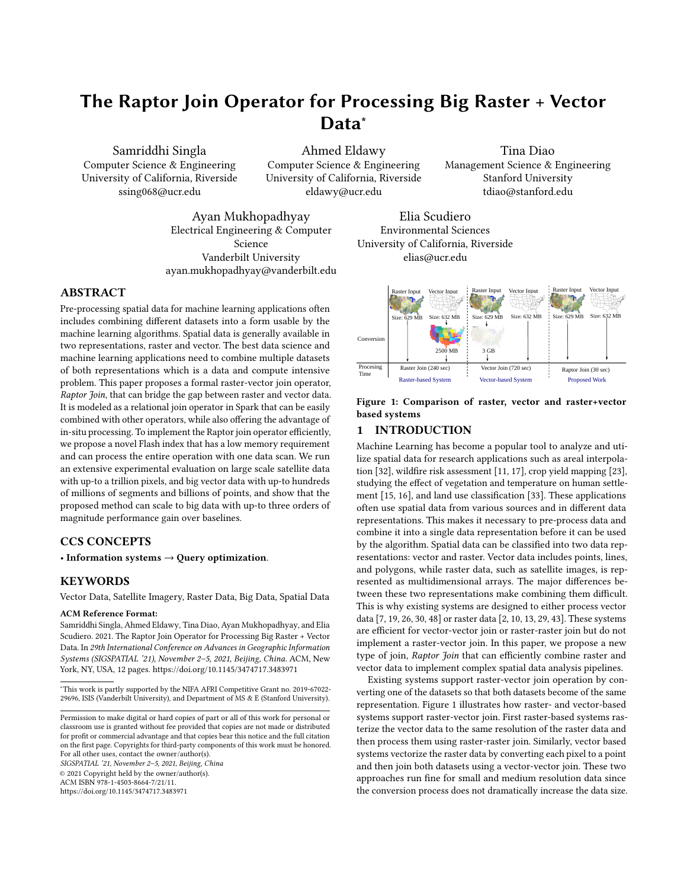<span id="page-6-0"></span>

Figure 6: Running time (bars) and index size (lines) of ACT and  $RJ<sub>\Join</sub>$  for small raster data on a single machine

<span id="page-6-1"></span>

Figure 7: Running time of vector-based systems

on-the-fly method that can avoid materializing the converted data. To adapt it to our problem, we first create an ACT-4 index (which gives the best result) and we set its precision to match the raster resolution to minimize the index size and maximize the throughput without significantly reducing the accuracy. Then, we use GDAL library to load the pixels that are within the minimum bounding rectangle (MBR) of the vector data directly from the GeoTIFF file. After that, we convert each pixel location to a point, and search for overlapping polygons in the index. For a fair comparison, we compare ACT to  $RJ_{\bowtie}$  when both are running on a single-thread. The single-thread  $RJ_{\bowtie}$  implementation skips the index optimization phase since the Flash-index is built on one machine. Since ACT is not optimized for disk access, we did not include the raster or vector loading times.

Figure [6](#page-6-0) shows the results of ACT and  $RJ<sub>M</sub>$  to join the two smallest raster datasets with all vector datasets. ACT ran out of memory for larger datasets on a machine with 32GB of RAM. For the smallest raster dataset, GLC2000,  $RJ_{\bowtie}$  is up-to three orders of magnitude faster than ACT. This can be explained by the index size which reaches nearly 6GB for ACT while it barely reaches 20MB for the proposed Flash index. Keep in mind that ACT index needs to be searched for each pixel while the Flash index is scanned only once. For the medium raster dataset, MERIS, we can see a similar behavior for both running time and index size. Furthermore, ACT runs out of memory for the boundaries dataset while the Flash index peaks at 60MB of memory.

<span id="page-6-2"></span>

Figure 8: Single machine performance of Rasdaman and  $RJ_{\bowtie}$ 

<span id="page-6-3"></span>

Figure 9: Running time of raster-based systems

Materialized method: Sedona and Beast are used to test the performance of the materialized method. To use them, we first convert the raster dataset to points in the format  $(lon, lat, m)$ , which encodes the pixel location and value. We do not consider the overhead of the conversion process. We show the results on only the smallest raster datasets since none of the baselines was able to fin-ish for the larger datasets. Figure [7](#page-6-1) shows that  $RJ_{\infty}$  outperforms all baseline systems hands down. Furthermore, as the raster resolution increases, from GLC2000 to MERIS, the gap grows to more than three orders of magnitude. The reason is that the number of pixels increases quadratically with the resolution which incurs a huge overhead on partitioning and processing this data.

The previous experiments confirm that vector-based systems are not suitable for this problem. The on-the-fly method suffers from the large index size and the excessive index access. On the other hand, the materialized method suffers from the partition and processing overhead of the vectorized pixels.

### 4.3 Raster-based Systems

In this part, we compare  $RJ<sub>M</sub>$  to four baselines, Rasdaman, GeoTrellis, Google Earth Engine (GEE), and Raptor Zonal Statistics (RZS). The latter is our previous work which is designed only for the zonal statistics problem between polygons and raster data. Since the free version of Rasdaman runs on a single-machine, we compare it to a single-thread implementation of  $RJ_{\bowtie}$ . We compare all other baselines to the Spark version of  $RJ_{\bowtie}$ . The experiments in [\[42\]](#page-9-21) show that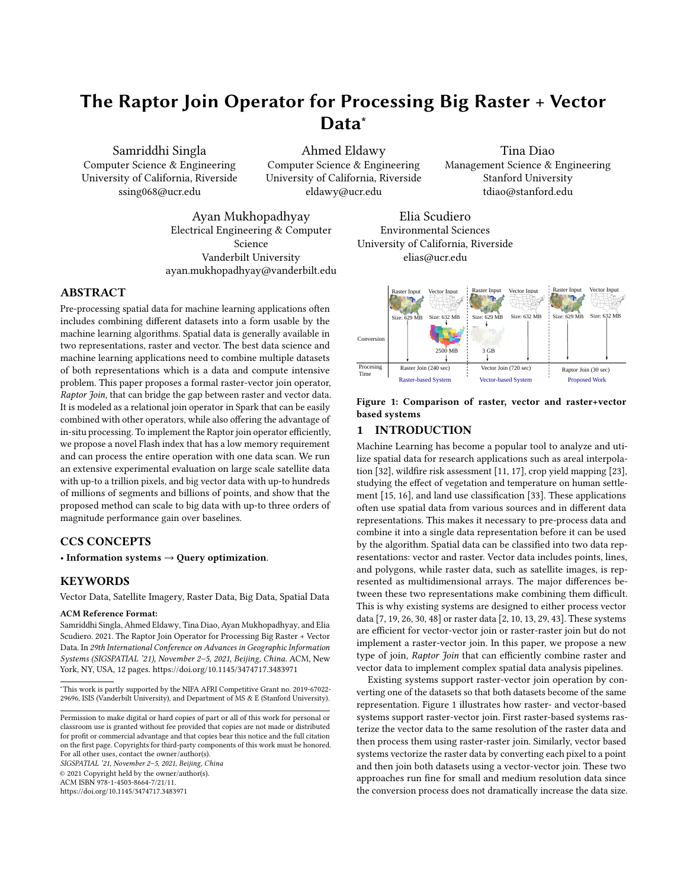<span id="page-7-0"></span>

Figure 10: Breakdown of  $RJ<sub>M</sub>$  running time

the ingestion time for raster and vector datasets for the baselines. The in-situ approach of  $RI_{\bowtie}$ , that is, uploading data to HDFS, can be observed to be two to three orders of magnitude faster than the baselines. Since, they also show that the ingestion performance of all raster systems is very low, we omit the results of the materialized method and show only the on-the-fly method.

Single-machine Systems: Figure [8](#page-6-2) shows the performance of Rasdaman as compared to the single-machine  $RJ_{\bowtie}$  algorithm. Rasdaman iterates over polygons, clips, and aggregates the raster data for each one. This would result in some redundant access to the raster data for nearby or overlapping polygons. On the other hand,  $RJ_{\bowtie}$ , even when running on a single machine, ensures that the raster tiles are accessed only once. Rasdaman would still be helpful for processing a single polygon or a very few polygons but it does not scale for large vector data.

Distributed Systems: Figure [9](#page-6-3) shows the overall running time for  $RJ<sub>M</sub>$  as compared to RZS, GeoTrellis, and GEE. Since all these systems are more scalable than the previous ones, we only try on the two bigger raster datasets, US-Aster and TreeCover.  $RJ_{\bowtie}$  is still the fastest algorithm in almost all cases. The only case where RZS is faster is when joining Boundaries with TreeCover. Since the Boundaries dataset is small, RZS would broadcast it to all machines where it then processes each file locally.  $RJ_{\bowtie}$  would still partition the Flash index which might result in some overhead as multiple machines might process different parts of the same file. However, for big vector and raster data,  $RJ<sub>M</sub>$  is more than 50 times faster than RZS. Additionally,  $RJ_{\bowtie}$  is more flexible since the RZS algorithm solves only the zonal statistics problem and runs only with polygons.

Breakdown of  $RJ<sub>M</sub>$  Running Time Figure [10](#page-7-0) shows the breakdown of the total running time for  $RJ_{\bowtie}$  into three steps, Flash Index Creation, Flash Index Optimization, and Flash Index Processing. It can be observed from the figure that the running time is dominated by Flash Index Processing Step. This is because this step is dominated by disk IO for reading the required pixel values from disk. The Flash Index Creation takes about 10%-40% of the running time and depends on the size of vector data. Treecover dataset is made up of multiple raster files. This is why for this dataset, Flash Index Creation step takes more time as it needs to compute the Flash Index for each raster file separately. The Flash Index Optimization takes the least amount of time and depends on the distribution of intersections across worker nodes.

SIGSPATIAL '21, November 2-5, 2021, Beijing, China Samriddhi Singla, Ahmed Eldawy, Tina Diao, Ayan Mukhopadhyay, and Elia Scudiero

<span id="page-7-1"></span>

Figure 11: Performance on non-polygon joins with big raster data. Dotted lines represent extrapolated values.

<span id="page-7-2"></span>

## 4.4 Flexibility of  $\mathbb{R} \mathbb{J}_{\bowtie}$

**Non-polygon joins:** To show the flexibility of  $RJ_{\bowtie}$ , we test its performance on non-polygonal joins, i.e., point and linestring joins. An application of point joins is agricultural applications that combine ground sensors at fixed points with remote sensors and build a regression model between them [\[34\]](#page-9-26). Linestring joins can be used in hydrology applications to compute the elevation model along water paths to measure the water flow and delineate watersheds [\[9\]](#page-9-25). Figure [11](#page-7-1) shows the performance of point and line joins for the vector datasets in Table [1](#page-5-1) and the largest raster dataset Treecover for  $RJ<sub>M</sub>$  and GEE. We chose GEE as a baseline as we observed it to be the most scalable during the experiments for polygon joins. As can be observed,  $RJ_{\bowtie}$  outperforms GEE for both linestring and point joins with over two orders of magnitude performance gain. The dotted lines for GEE indicate an extrapolation that we did to estimate the running time for larger vector datasets, since it was not able to process the entire dataset in one run.

Applications: Figure [12](#page-7-2) shows the results for applications dis-cussed in [\[42\]](#page-9-21). As can be observed,  $RJ<sub>M</sub>$  is at least 10x faster than GEE for the first two applications. For the first application, wildfire combating,  $RJ_{\bowtie}$  is used to calculate statistics for both California (3 million polygons) and the entire US (55 million polygons). It takes as input 23 rasters from landfire.gov each containing over a billion pixels. The second application, crop yield mapping, takes as input 360,000 agricultural fields and over 1.8 TB of medium resolution(MR) raster data and 31 GB of high resolution(HR) Planet Data. For the third application of areal interpolation(ArI), the results are for the single machine implementation of  $RJ_{\bowtie}$ . It was used to join the National Land Cover (NLCD) raster dataset, with 16 billion pixels, with 74k TRACT polygons to estimate their population.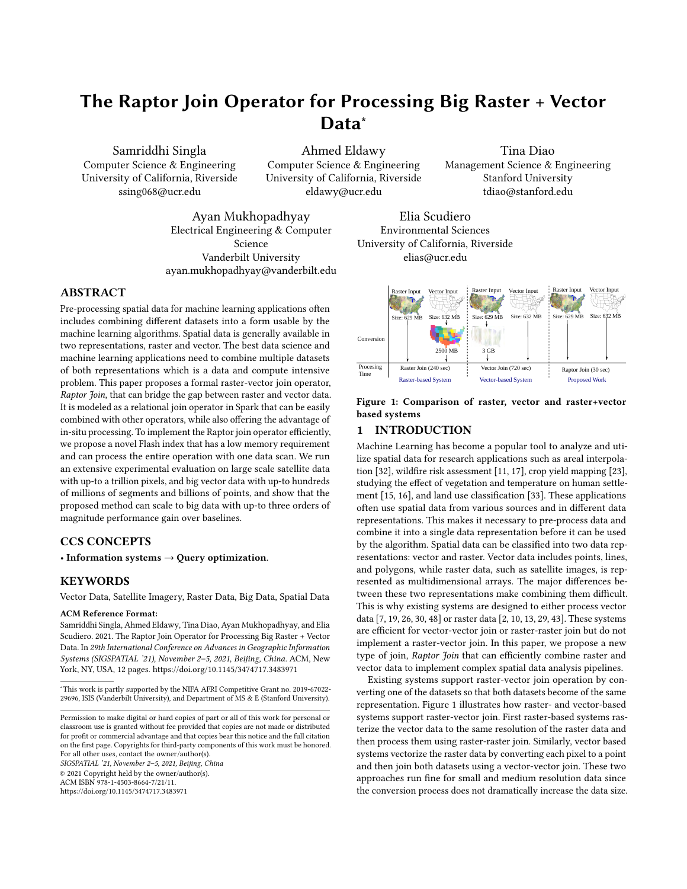# 4.5 Optimizing  $RJ_{\bowtie}$

Flash Index Construction: This experiment studies the effect of partitioning vector data during the Flash index construction step. We compare the default Spark partitioning, that creates a partition for each 128 MB block, against the one proposed in  $RJ_{\bowtie}$  that partitions the file into blocks of 16 MB each, followed by another partitioning if the number of blocks is less than the number of workers in the cluster. The experiment is conducted using the raster dataset, Treecover and subsets of vector dataset, Parks. As can be seen in Figure [13,](#page-7-2) the proposed partitioning runs 100 times faster for small datasets due to the additional re-partitioning step that ensures that all executors participate in the processing. For large datasets, the default partitioning method fails with out of memory exception due to the large number of intersections per 128 MB partition. Using a 16 MB partition reduces the overall memory overhead per executor.

Flash Index Optimization: This experiment studies the effect of global and local index optimizations on the running time of  $RJ_{\bowtie}$ algorithm. As can be observed in Figure [14,](#page-8-1) using only the global optimization helps with small vector datasets, i.e., boundaries, but it does not help much with medium-scale datasets, i.e., ZCTA5 and TRACT, and reduces the performance for large datasets, parks. The reason is that for a small dataset, the Flash index is small enough that only partitioning by tile ID (global optimization) is enough while sorting within partition might not help much. For large vector data, local optimization is critical due to the large number of pixel ranges. This can be observed with the parks dataset where global+local optimizations achieve an order of magnitude speedup.

Efficient Aggregation: There are two types of aggregate functions, algebraic and holistic. Algebraic functions can be computed efficiently using reduce or aggregate operation. local and then global aggregation, e.g., min, max, and average. These can be computed in Spark using the reduce or aggregate operations. Holistic functions, on the other hand, may require collecting all values in one machine and are thus less efficient to compute, e.g., median and percentile. They can be implemented in Spark using the less efficient groupBy operation. Since  $RJ_{\bowtie}$  is integrated in Spark, it can compute both types of functions by simply following the  $RJ_{\bowtie}$ operation with the appropriate Spark operation. This design breaks from the limitation of RZS which can only support a limited number of algebraic aggregate functions. Figure [15](#page-8-1) compares the computation of mean and median as an example of algebraic and holistic functions, respectively. As shown,  $RJ_{\bowtie}$  is three times faster when computing the mean due to the more efficient calculation method. This experiment also shows the flexibility of  $RJ_{\bowtie}$  with any function that the users want to compute.

## <span id="page-8-0"></span>5 RELATED WORK

Non-spatial Joins The join operation [\[31\]](#page-9-32) is a fundamental relational database query operation that brings together two ore more relations. Logically, it can be modeled as a Cartesian product followed by a filter on the join predicate. Non-matching attributes from the two relations can be included in the output depending on the join type, inner, left outer, right outer, or full outer join. The most common join operation in relational databases is equi-join which uses the equality join predicate. Traditional join algorithms [\[25\]](#page-9-33) are block nested loop, index nested loop, hash join, and sort-merge join. Sort-merge join is usually the most efficient algorithm if the

<span id="page-8-1"></span>

inputs are already sorted. Otherwise, hash join is most commonly used. Finally, index nested loop join is preferred if one dataset is very small and the other one is indexed. In this paper, we make an analogy between traditional join algorithms and raster-vector-join algorithms to explain their limitations.

Spatial Join on Raster Data Raster data is usually represented as multidimensional arrays and it is analysed using map algebra [\[24,](#page-9-34) [35\]](#page-9-35). To join two raster layers, they must have the same dimensions. If the dimensions mismatch, a regridding operation is applied on one dataset to match the other dataset. Systems such as SciDB [\[43\]](#page-9-16), RasDaMan [\[2\]](#page-9-12), GeoTrellis [\[18\]](#page-9-28), ChronosDB [\[51\]](#page-9-36), and Google Earth Engine [\[13\]](#page-9-14) implement algorithms for raster operations that can process large amounts of raster data. However, none of these systems provide an efficient join operation for raster and vector data. They usually rasterize the vector data with a matching resolution and apply the raster operation. [\[6,](#page-9-37) [54\]](#page-9-38) optimize raster joins by utilizing its tiled structure. However, they focus on either similarity joins or skewed data, which generally do not apply to raster-vector joins.

Spatial Join on Vector Data Vector data is represented as a set of points, lines, and polygons, which are all represented as a set of coordinates. A spatial join on vector data can be defined as a join that finds pairs of geometries that satisfy a spatial predicate, such as intersection, overlap, or contains. Spatial join algorithms for vector data include R-Tree join [\[3\]](#page-9-39), Spatial Hash join [\[22\]](#page-9-40), Partition Based Spatial Merge join (PBSM) [\[27\]](#page-9-41), index-based in-memory joins [\[19,](#page-9-8) [37\]](#page-9-42), and many more [\[20,](#page-9-43) [21\]](#page-9-44). Efforts have also been made to implement these spatial join algorithms in a distributed environment in order to process big data [\[1,](#page-9-45) [7,](#page-9-7) [47,](#page-9-46) [48,](#page-9-11) [52\]](#page-9-47). None of these systems support raster-vector join efficiently. They can only convert raster pixels to points to apply one of the spatial predicates. For raster datasets with billions of pixels, this method does not scale.

Raster-Vector Joins There has been some efforts to combine raster and vector data efficiently at the data representation, indexing, and query processing levels. At the data representation levels, a new vaster model was proposed [\[28\]](#page-9-48) which converts both vector and raster data to a common representation. However, it was not practical as it needs to convert both datasets prior to doing any processing. At the indexing levels, the  $k^2$ -raster index is proposed [\[4,](#page-9-49) [36\]](#page-9-50) to index raster data that can be combined with an R-tree vector index. However, this work is limited to top-k and range queries and is limited to small data as it is a main-memory index. At the query processing level, the single-machine Scanline algorithm [\[8,](#page-9-51) [40\]](#page-9-20) was proposed to solve the zonal statistics problem on raster and vector data. The algorithm was also ported to Hadoop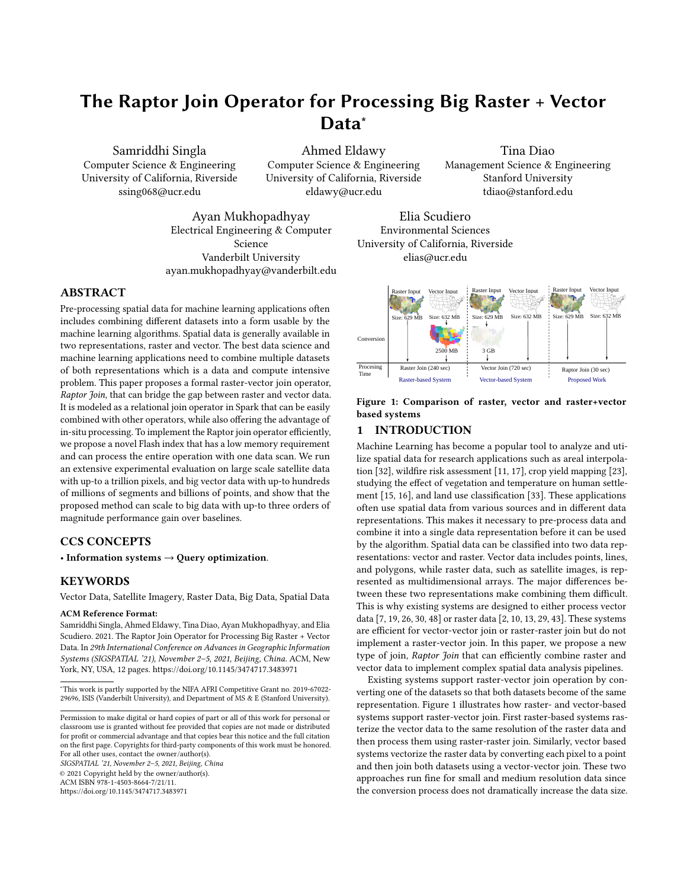for scalability [\[38,](#page-9-19) [39\]](#page-9-17). However, this work was limited to the zonal statistics computation on polygons and had a limited scalability when it comes to big vector data.

This paper is the first to define and implement a general-purpose join operator for raster and vector data that can be used to build any complex relational query plan that runs on the distributed Spark framework. It does not require a conversion process like [\[28\]](#page-9-48). The proposed Flash index is lighter than [\[4,](#page-9-49) [19,](#page-9-8) [36\]](#page-9-50) and can scale to terabytes of data and support any relational operation. Finally, the proposed work is more scalable and flexible than [\[8,](#page-9-51) [38](#page-9-19)[–40\]](#page-9-20) since it can support any relational query plan and not only zonal statistics.

# <span id="page-9-23"></span>6 CONCLUSION AND FUTURE WORK

The paper proposes a new raster-vector join algorithm, Raptor Join  $(RJ_{\bowtie})$ . It overcomes the limitations of the existing systems by combining raster-vector data in their native formats by using a novel index structure Flash Index. This algorithm is modeled as a relational join operator and uses an in-situ approach, hence, making it attractive for ad-hoc queries. It runs in three steps, namely, Flash Index creation, Flash Index optimization and Flash Index processing. The Flash Index creation step computes a mapping between raster and vector in the form of pixel ranges. The Flash Index optimization step partitions and reorganizes this data structure across machines in such a way that each tile in the raster dataset is scanned by only one machine. The Flash Index processing step processes the partitioned pixel ranges to read the required pixel values from the raster dataset. We run extensive experiments for the system against Rasdaman, GeoTrellis, Google Earth Engine, Adaptive Cell Trie, GeoSpark, and Beast on large raster and vector datasets to show its scalability and performance gain. In the future, we plan on extending the system to work with machine learning algorithms and answering approximate queries.

### REFERENCES

- <span id="page-9-45"></span>[1] A. Aji et al. Hadoop-GIS: A high performance spatial data warehousing system over mapreduce. PVLDB, 6(11), 2013.
- <span id="page-9-12"></span>[2] P. Baumann et al. The multidimensional database system RasDaMan. In SIGMOD, pages 575–577, Seattle, WA, June 1998.
- <span id="page-9-39"></span>pages 5/5-5/7, Seattle, WA, June 1996.<br>[3] T. Brinkhoff, H.-P. Kriegel, and B. Seeger. Efficient processing of spatial joins using R-trees. ACM SIGMOD Record, 22(2):237–246, 1993.
- <span id="page-9-49"></span>[4] N. R. Brisaboa et al. Efficiently querying vector and raster data. The Computer Journal, 60(9):1395–1413, 2017.
- <span id="page-9-52"></span>[5] T. Diao et al. Uncertainty Aware Wildfire Management. In AI for Social Good Workshop, AAAI Fall Symposium Series, 2020.
- <span id="page-9-37"></span>[6] J. Duggan et al. Skew-aware join optimization for array databases.
- <span id="page-9-7"></span>[7] A. Eldawy and M. F. Mokbel. SpatialHadoop: A MapReduce Framework for Spatial Data. In ICDE, pages 1352–1363, Apr. 2015.
- <span id="page-9-51"></span>[8] A. Eldawy, L. Niu, D. Haynes, and Z. Su. Large scale analytics of vector+raster big spatial data. In SIGSPATIAL, pages 62:1–62:4, 2017.
- <span id="page-9-25"></span>[9] Y. Fan et al. Hillslope Hydrology in Global Change Research and Earth System Modeling. 2019.
- <span id="page-9-13"></span>[10] GeoTrellis on Spark. [https://github.com/wri/geotrellis-zonal-stats/blob/master/](https://github.com/wri/geotrellis-zonal-stats/blob/master /src/main/scala/tutorial/ZonalStats.scala) [src/main/scala/tutorial/ZonalStats.scala,](https://github.com/wri/geotrellis-zonal-stats/blob/master /src/main/scala/tutorial/ZonalStats.scala) 2019.
- <span id="page-9-1"></span>[11] O. Ghorbanzadeh et al. Spatial prediction of wildfire susceptibility using field survey GPS data and machine learning approaches. Fire, 2(3):43, 2019.
- <span id="page-9-29"></span>[12] S. Ghosh, T. Vu, M. A. Eskandari, and A. Eldawy. UCR-STAR: The UCR Spatio-Temporal Active Repository. SIGSPATIAL Special, 11(2):34–40, Dec. 2019.
- <span id="page-9-14"></span>[13] N. Gorelick et al. Google earth engine: Planetary-scale geospatial analysis for everyone. Remote sensing of Environment, 202:18–27, 2017.
- <span id="page-9-24"></span>[14] ISO 19111:2019: Geographic information - Referencing by coordinates. [https:](https://www.iso.org/obp/ui/#iso:std:iso:19111:ed-3:v1:en) [//www.iso.org/obp/ui/#iso:std:iso:19111:ed-3:v1:en,](https://www.iso.org/obp/ui/#iso:std:iso:19111:ed-3:v1:en) 2019.
- <span id="page-9-4"></span>[15] G. D. Jenerette et al. Regional Relationships Between Surface Temperature, Vegetation, and Human Settlement in a Rapidly Urbanizing Ecosystem. Landscape Ecology, 22:353–365, 2007.

SIGSPATIAL '21, November 2-5, 2021, Beijing, China Samriddhi Singla, Ahmed Eldawy, Tina Diao, Ayan Mukhopadhyay, and Elia Scudiero

- <span id="page-9-5"></span>[16] G. D. Jenerette et al. Ecosystem Services and Urban Heat Riskscape Moderation: Water, Green Spaces, and Social Inequality in Phoenix, USA. Ecological Applications, 21:2637–2651, 2011.
- <span id="page-9-2"></span>[17] M. B. Joseph et al. Spatiotemporal prediction of wildfire size extremes with bayesian finite sample maxima. Ecological Applications, 29(6), 2019.
- <span id="page-9-28"></span>[18] A. Kini and R. Emanuele. Geotrellis: Adding Geospatial Capabilities to Spark, 2014.
- <span id="page-9-8"></span>[19] A. Kipf et al. Adaptive main-memory indexing for high-performance pointpolygon joins. In EDBT 2020, pages 347–358. OpenProceedings.org, 2020.
- <span id="page-9-43"></span>[20] N. Koudas and K. C. Sevcik. Size separation spatial join. In SIGMOD, pages 324–335, 1997.
- <span id="page-9-44"></span>[21] M.-L. Lo and C. V. Ravishankar. Spatial joins using seeded trees. In ACM SIGMOD, pages 209–220, 1994.
- <span id="page-9-40"></span>[22] M.-L. Lo and C. V. Ravishankar. Spatial hash-joins. In ACM SIGMOD, pages 247–258, 1996.
- <span id="page-9-3"></span>[23] B. Maestrini and B. Basso. Predicting spatial patterns of within-field crop yield variability. Field Crops Research, 219, 2018.
- <span id="page-9-34"></span>[24] J. Mennis, R. Viger, and C. D. Tomlin. Cubic map algebra functions for spatiotemporal analysis. Cartography and Geographic Information Science, 32(1), 2005. [25] P. Mishra and M. H. Eich. Join processing in relational databases. ACM Computing
- <span id="page-9-33"></span><span id="page-9-9"></span>Surveys (CSUR), 24(1):63–113, 1992. [26] S. Nishimura et al. MD-HBase: Design and Implementation of an Elastic Data
- Infrastructure for Cloud-scale Location Services. DAPD, 31(2):289–319, 2013.
- <span id="page-9-41"></span>[27] J. M. Patel and D. J. DeWitt. Partition based spatial-merge join. ACM Sigmod Record, 25(2):259–270, 1996.
- <span id="page-9-48"></span>[28] D. J. Peuquet. A hybrid structure for the storage and manipulation of very large spatial data sets. Computer Vision, Graphics, and Image Processing, 24(1), 1983. [29] G. Planthaber, M. Stonebraker, and J. Frew. Earthdb: scalable analysis of modis
- <span id="page-9-15"></span>data using scidb. In BIGSPATIAL, pages 11–19, 2012.
- <span id="page-9-10"></span>[30] Postgis: Spatial and geographic objects for postgresql, 2020. [https://postgis.net.](https://postgis.net)
- <span id="page-9-32"></span>[31] R. Ramakrishnan and J. Gehrke. Database management systems. McGraw-Hill, 2000.
- <span id="page-9-0"></span>[32] M. Reibel and A. Agrawal. Areal interpolation of population counts using preclassified land cover data. Population Research and Policy Review, 26(5-6), 2007.
- <span id="page-9-6"></span>[33] H. Saadat et al. Land use and land cover classification over a large area in iran based on single date analysis of satellite imagery. ISPRS Journal of Photogrammetry and Remote Sensing, 66(5):608–619, 2011.
- <span id="page-9-26"></span>[34] E. Scudiero et al. Regional scale soil salinity evaluation using landsat 7, western san joaquin valley, california, usa. Geoderma Regional, 2-3:82 – 90, 2014.
- <span id="page-9-35"></span>[35] S. Shekhar and S. Chawla. Spatial Databases: A Tour. Prentice Hall Upper Saddle River, NJ, 2003.
- <span id="page-9-50"></span>[36] F. Silva-Coira et al. Efficient processing of raster and vector data. Plos one, 15(1):e0226943, 2020.
- <span id="page-9-42"></span>[37] B. Simion, A. D. Brown, and R. Johnson. Skew-resistant Parallel In-memory Spatial Join. In SSDBM, pages 6:1–6:12, Aalborg, Denmark, July 2014.
- <span id="page-9-19"></span>[38] S. Singla and A. Eldawy. Distributed Zonal Statistics of Big Raster and Vector Data. In SIGSPATIAL, 2018.
- <span id="page-9-17"></span>[39] S. Singla and A. Eldawy. Raptor Zonal Statistics : Fully Distributed Zonal Statistics of Big Raster + Vector Data. In IEEE BigData 2020. IEEE, Dec. 2020.
- <span id="page-9-20"></span>[40] S. Singla et al. Raptor: Large Scale Analysis of Big Raster and Vector Data. PVLDB, 12(12):1950 – 1953, 2019.
- <span id="page-9-53"></span>[41] S. Singla et al. WildfireDB: A Spatio-Temporal Dataset Combining Wildfire Occurrence with Relevant Covariates. 2020.
- <span id="page-9-21"></span>[42] S. Singla et al. Experimental Study of Big Raster and Vector Database Systems. In ICDE, page To Appear, Apr. 2021.
- <span id="page-9-16"></span>[43] M. Stonebraker et al. SciDB: A Database Management System for Applications with Complex Analytics. Computing in Science and Engineering, 15(3), 2013.
- <span id="page-9-54"></span><span id="page-9-31"></span>[44] P. Team. Planet application program interface: In space for life on earth, 2018–. [45] M. P. Thompson et al. Integrating pixel-and polygon-based approaches to wildfire
- risk assessment: Application to a high-value watershed on the pike and san isabel national forests, colorado, usa. Environmental Modeling & Assessment, 21(1), 2016.
- <span id="page-9-30"></span>[46] UCR-Star: The UCR Spatio-temporal Active Repository. [https://star.cs.ucr.edu/.](https://star.cs.ucr.edu/)
- <span id="page-9-46"></span>[47] D. Xie et al. Simba: Efficient In-Memory Spatial Analytics. In SIGMOD, June 2016.
- <span id="page-9-11"></span>[48] J. Yu, M. Sarwat, and J. Wu. GeoSpark: A Cluster Computing Framework for Processing Large-Scale Spatial Data. In SIGSPATIAL, Seattle, WA, Nov. 2015.
- <span id="page-9-27"></span>[49] M. Zaharia et al. Resilient distributed datasets: A fault-tolerant abstraction for in-memory cluster computing. In NSDI. USENIX Association, 2012.
- <span id="page-9-18"></span>[50] M. Zaharia et al. Apache spark: a unified engine for big data processing. Commun. ACM, 59(11):56–65, 2016.
- <span id="page-9-36"></span>[51] R. A. R. Zalipynis. Chronosdb: distributed, file based, geospatial array dbms. PVLDB, 11(10):1247–1261, 2018.
- <span id="page-9-47"></span>[52] S. Zhang, J. Han, Z. Liu, K. Wang, and Z. Xu. Sjmr: Parallelizing spatial join with mapreduce on clusters. In CLUSTER, pages 1–8, 2009.
- <span id="page-9-22"></span>[53] Y. Zhang and A. Eldawy. Evaluating computational geometry libraries for big spatial data exploration. In ACM SIGMOD, pages 1–6, 2020.
- <span id="page-9-38"></span>[54] W. Zhao, F. Rusu, B. Dong, and K. Wu. Similarity join over array data. In Proceedings of the 2016 International Conference on Management of Data, 2016.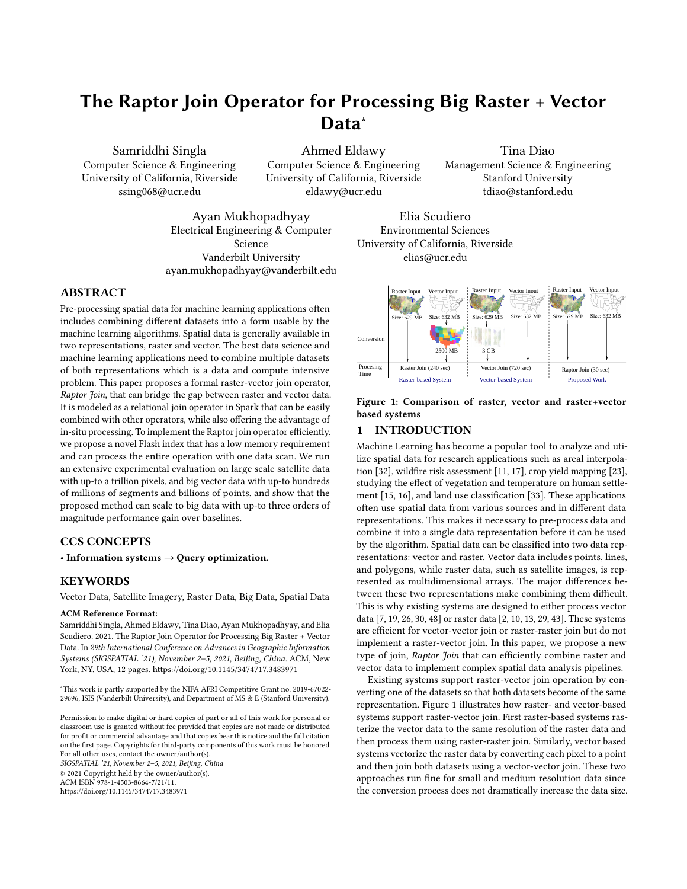# <span id="page-10-0"></span>A RASTER METADATA ATTRIBUTES

This part describes how information from raster metadata  $R.M$  can be used to calculate the attributes required for each raster layer  $R$ or pixel  $px$ :

- Pixel bounding box  $bb(px)$ : is the bounding box of a pixel in world coordinates. The two corner points of  $bb(px)$  are computed by applying the  $G2W$  transformation for the pixel locations  $(x, y)$  and  $(x + 1, y + 1)$ .
- Pixel resolution  $p_x$ ,  $p_y$ : is the width and height of a pixel bounding box. This value needs to be calculated only once since all pixels have the same resolution. For square pixels, we use  $p = p_x = p_u$  to refer to either of them.
- Tile ID  $T_{id}(px)$ : is the tile that contains any given pixel.

<span id="page-10-3"></span>
$$
T_{id} = \left\lfloor \frac{y}{th} \right\rfloor \cdot \left\lceil \frac{c}{tw} \right\rceil + \left\lfloor \frac{x}{tw} \right\rfloor \tag{4}
$$

• Number of tiles in the file:

$$
numTiles = \left\lceil \frac{c}{tw} \right\rceil \cdot \left\lceil \frac{r}{th} \right\rceil \tag{5}
$$

# <span id="page-10-1"></span>B INTEGRATION WITH SPARK

This part describes how the  $RJ_{\bowtie}$  operation is integrated with the Spark RDD API [\[49\]](#page-9-27). We use the Scala *implicit classes*<sup>[1](#page-10-4)</sup> feature to extend the SparkContext and RDD classes without touching the internal code of Spark. In SparkContext, we add two sets of functions for loading vector and raster data in various formats, e.g., geoTiff, shapefile, and geojson. Vector data is loaded as RDD[IFeature] where IFeature represents a geometric feature that contains a geometry and any additional non-spatial attributes in the file. Raster data is loaded as RDD[ITile] where each ITile is an interface for accessing pixel values and raster metadata.

We also extend RDD[ITile] with the raptorJoin method that takes RDD[IFeature] and returns RDD[(Long, Int, Int, Int, Float) which represents a set of tuples  $(q_{id}, R_{id}, x, y, m)$ . Finally, raptorJoin is implemented as a transformation so it can be preceded or followed by other transformations and they will be compiled into one Spark job. For example, it can be preceded by filter on the vector data and followed by a grouped aggregation on the geometry ID or the pixel value. In addition to the Scala API, we also provide Java and Python wrappers but we omit their details for brevity.

# <span id="page-10-2"></span>C APPLICATION EXAMPLES

 $RJ<sub>M</sub>$  can be used in a wide range of applications. This section describes three real applications we collaborated on for combating wildfires, crop yield estimation in agriculture, and population estimation in political science. Interested readers can refer to [\[42\]](#page-9-21) for more details about these applications. The following examples use the Spark Scala RDD API assuming that Spark context is initialized as sc. We assume that the reader is familiar with the Spark RDD  $API<sup>2</sup>$  $API<sup>2</sup>$  $API<sup>2</sup>$  since explaining it is beyond the scope of this work.

Combating Wildfires In this application [\[5,](#page-9-52) [41,](#page-9-53) [45\]](#page-9-54), the input consists of a set of fire zones in the US, defined as polygons, and a set of satellite layers that contain vegetation, fuel and temperature as contributing factors for the spread of fire. It calculates a set of

```
1https://docs.scala-lang.org/overviews/core/implicit-classes.html
```
<span id="page-10-5"></span><sup>2</sup>https://spark.apache.org/docs/latest/rdd-programming-guide.html

statistics including mean, median, and standard deviation for the contributing factors in each fire zone. This data can then be used to train a machine learning model on how wild fires spread. The following code snippet shows how to compute the statistics for temperature (vegetation and fuel is done similarly).

val zones: RDD[IFeature] = sc.shapefile("zones.zip") val temperature:  $RDD[ITile] = sc.getoff("temperature.tif")$ val zone\_temp:  $RDD[(\text{IFeature}, \text{Array}[\text{Float}])] =$ temperature.raptorJoin(zones) .map( $x =>(x.feature_id, x.m))$  // Keep geometry and pixel value .groupByKey() // Group by vector feature .map(x =>  $(x, 1, statistics(x, 2))$ ) // Compute statistics

The result is grouped by feature-id to be able to compute holistic aggregate functions, e.g., median, which can only be computed when all values are present.

Crop Yield Mapping In this application [\[23\]](#page-9-3), the input consists of a vector dataset that contains farmlands in California and several raster layers that represent the vegetation, i.e., how green each pixel is, at different dates. It computes the  $90<sup>th</sup>$  percentile of vegetation per pixel over time and then computes the average per farmland.

val farmland: RDD[IFeature] = sc.shapefile("farmland.shp")  $.filter(\_\$ getAs[String]("State") == "CA") val vegetation:  $RDD[$ [1] = sc.geDiff(" vegetation")val percentiles:  $RDD[(\text{IFeature}, \text{float})] =$ vegetation.raptorJoin(farmland) .groupBy( $v =>(v.x, v.y)$ ) // Group by pixel location .map(x => percentile(x, 90)) // Compute 90th percentile val averages = percentiles.aggregateByKey $((0.0f, 0L))$ // Aggregate sum, count  $(sumcount, x)$  =>  $(sumcount, 1 + x, sumcount, 2 + 1)$ ,  $(a, b)$  =>  $(a_1 + b_1, a_2 + b_2)$  // Combine (sum, count) .map(x => (x.\_1, x.\_2.\_1 / x.\_2.\_2)) // average=sum/count

The above example filters the farmland dataset before the join to keep only the ones in California. We join and group the results by pixel to include all pixels values across time. After that, we compute the  $90<sup>th</sup>$  percentile per pixel while still keeping the farmland feature in the result. We use the Spark aggregate operation which can efficiently compute algebraic aggregate functions, e.g., average.

Areal Interpolation (AI) This application [\[32\]](#page-9-0) estimates the population in arbitrary areas using areal interpolation. At its core, this method takes a set of polygonal regions, e.g., census tracts or ZIP codes, and a raster layer that contain land use type. It computes the histogram of use types for each region as explained below.

 $\vert$  val regions: RDD[IFeature] = sc.shapefile("tracts.shp") val landuse: RDD[ITile] = sc.geoTiff("landuse") val histograms: Map $[((IFeature, float), Long)] =$ landuse.raptorJoin(regions) .map( $x = > ((x.feature, x.m), null))$  // Map to histogram bins .countByKey() // Count per region and land type

This example directly joins the tracts vector data with the landuse raster data. To compute the histogram, it uses a map transformation to define a histogram bin for each result entry as the pair (tract,land type). It finishes by simply counting the number of entries per bin.